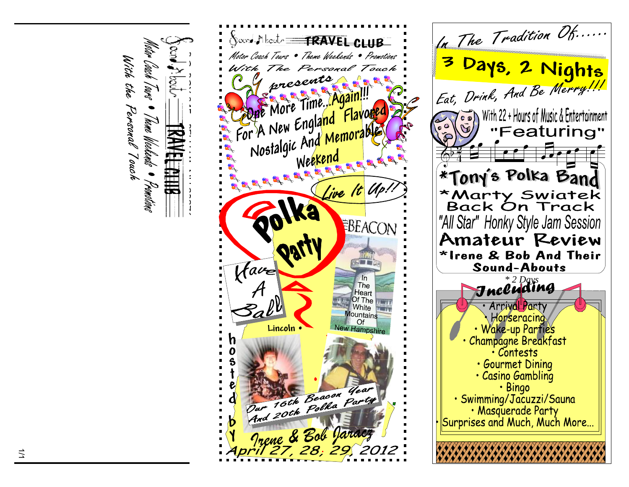



With the